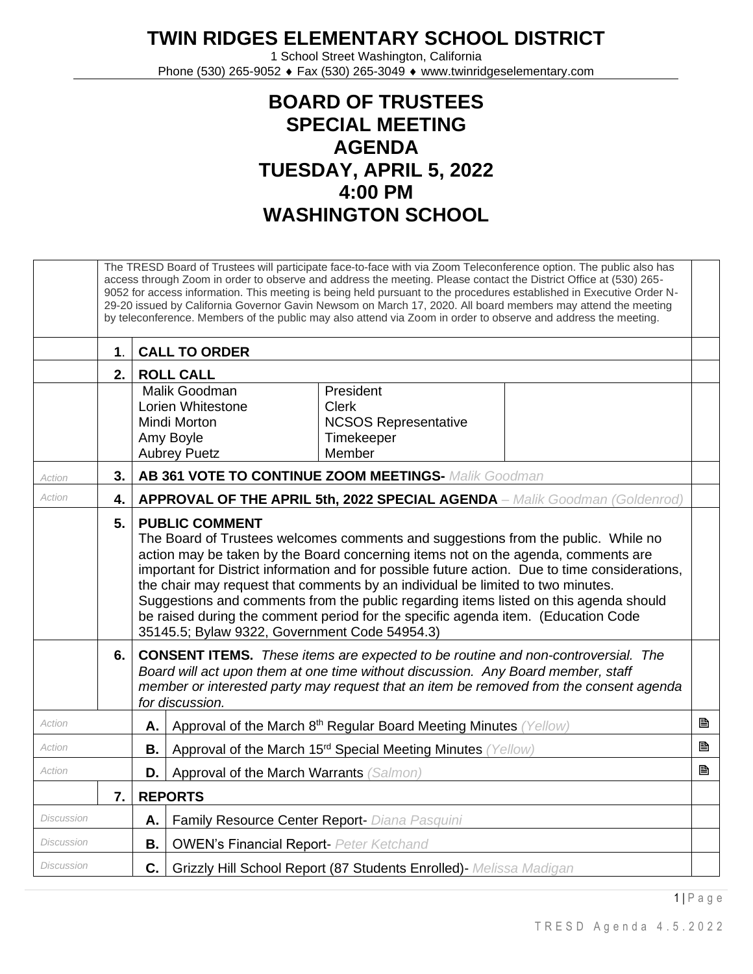## **TWIN RIDGES ELEMENTARY SCHOOL DISTRICT**

1 School Street Washington, California Phone (530) 265-9052 ♦ Fax (530) 265-3049 ♦ www.twinridgeselementary.com

## **BOARD OF TRUSTEES SPECIAL MEETING AGENDA TUESDAY, APRIL 5, 2022 4:00 PM WASHINGTON SCHOOL**

|                                                                                         |                                                                          | The TRESD Board of Trustees will participate face-to-face with via Zoom Teleconference option. The public also has<br>access through Zoom in order to observe and address the meeting. Please contact the District Office at (530) 265-<br>9052 for access information. This meeting is being held pursuant to the procedures established in Executive Order N-<br>29-20 issued by California Governor Gavin Newsom on March 17, 2020. All board members may attend the meeting<br>by teleconference. Members of the public may also attend via Zoom in order to observe and address the meeting.                   |  |  |  |  |  |  |  |
|-----------------------------------------------------------------------------------------|--------------------------------------------------------------------------|---------------------------------------------------------------------------------------------------------------------------------------------------------------------------------------------------------------------------------------------------------------------------------------------------------------------------------------------------------------------------------------------------------------------------------------------------------------------------------------------------------------------------------------------------------------------------------------------------------------------|--|--|--|--|--|--|--|
|                                                                                         | 1 <sub>1</sub>                                                           | <b>CALL TO ORDER</b>                                                                                                                                                                                                                                                                                                                                                                                                                                                                                                                                                                                                |  |  |  |  |  |  |  |
|                                                                                         | 2.                                                                       | <b>ROLL CALL</b>                                                                                                                                                                                                                                                                                                                                                                                                                                                                                                                                                                                                    |  |  |  |  |  |  |  |
|                                                                                         |                                                                          | Malik Goodman<br>President<br>Lorien Whitestone<br><b>Clerk</b><br><b>Mindi Morton</b><br><b>NCSOS Representative</b><br>Amy Boyle<br>Timekeeper<br>Member<br><b>Aubrey Puetz</b>                                                                                                                                                                                                                                                                                                                                                                                                                                   |  |  |  |  |  |  |  |
| Action                                                                                  | 3.                                                                       | AB 361 VOTE TO CONTINUE ZOOM MEETINGS- Malik Goodman                                                                                                                                                                                                                                                                                                                                                                                                                                                                                                                                                                |  |  |  |  |  |  |  |
| Action                                                                                  | 4.                                                                       | <b>APPROVAL OF THE APRIL 5th, 2022 SPECIAL AGENDA</b> - Malik Goodman (Goldenrod)                                                                                                                                                                                                                                                                                                                                                                                                                                                                                                                                   |  |  |  |  |  |  |  |
|                                                                                         | 5.                                                                       | <b>PUBLIC COMMENT</b><br>The Board of Trustees welcomes comments and suggestions from the public. While no<br>action may be taken by the Board concerning items not on the agenda, comments are<br>important for District information and for possible future action. Due to time considerations,<br>the chair may request that comments by an individual be limited to two minutes.<br>Suggestions and comments from the public regarding items listed on this agenda should<br>be raised during the comment period for the specific agenda item. (Education Code<br>35145.5; Bylaw 9322, Government Code 54954.3) |  |  |  |  |  |  |  |
|                                                                                         | 6.                                                                       | <b>CONSENT ITEMS.</b> These items are expected to be routine and non-controversial. The<br>Board will act upon them at one time without discussion. Any Board member, staff<br>member or interested party may request that an item be removed from the consent agenda<br>for discussion.                                                                                                                                                                                                                                                                                                                            |  |  |  |  |  |  |  |
| Action<br>Approval of the March 8th Regular Board Meeting Minutes (Yellow)<br>Α.        |                                                                          |                                                                                                                                                                                                                                                                                                                                                                                                                                                                                                                                                                                                                     |  |  |  |  |  |  |  |
| Action<br>Approval of the March 15 <sup>rd</sup> Special Meeting Minutes (Yellow)<br>В. |                                                                          |                                                                                                                                                                                                                                                                                                                                                                                                                                                                                                                                                                                                                     |  |  |  |  |  |  |  |
| Action<br>Approval of the March Warrants (Salmon)<br>D. I                               |                                                                          |                                                                                                                                                                                                                                                                                                                                                                                                                                                                                                                                                                                                                     |  |  |  |  |  |  |  |
|                                                                                         | 7.                                                                       | <b>REPORTS</b>                                                                                                                                                                                                                                                                                                                                                                                                                                                                                                                                                                                                      |  |  |  |  |  |  |  |
| <b>Discussion</b>                                                                       |                                                                          | Family Resource Center Report- Diana Pasquini<br>Α.                                                                                                                                                                                                                                                                                                                                                                                                                                                                                                                                                                 |  |  |  |  |  |  |  |
| <b>Discussion</b><br><b>B.</b><br><b>OWEN's Financial Report- Peter Ketchand</b>        |                                                                          |                                                                                                                                                                                                                                                                                                                                                                                                                                                                                                                                                                                                                     |  |  |  |  |  |  |  |
| <b>Discussion</b>                                                                       | C.<br>Grizzly Hill School Report (87 Students Enrolled)- Melissa Madigan |                                                                                                                                                                                                                                                                                                                                                                                                                                                                                                                                                                                                                     |  |  |  |  |  |  |  |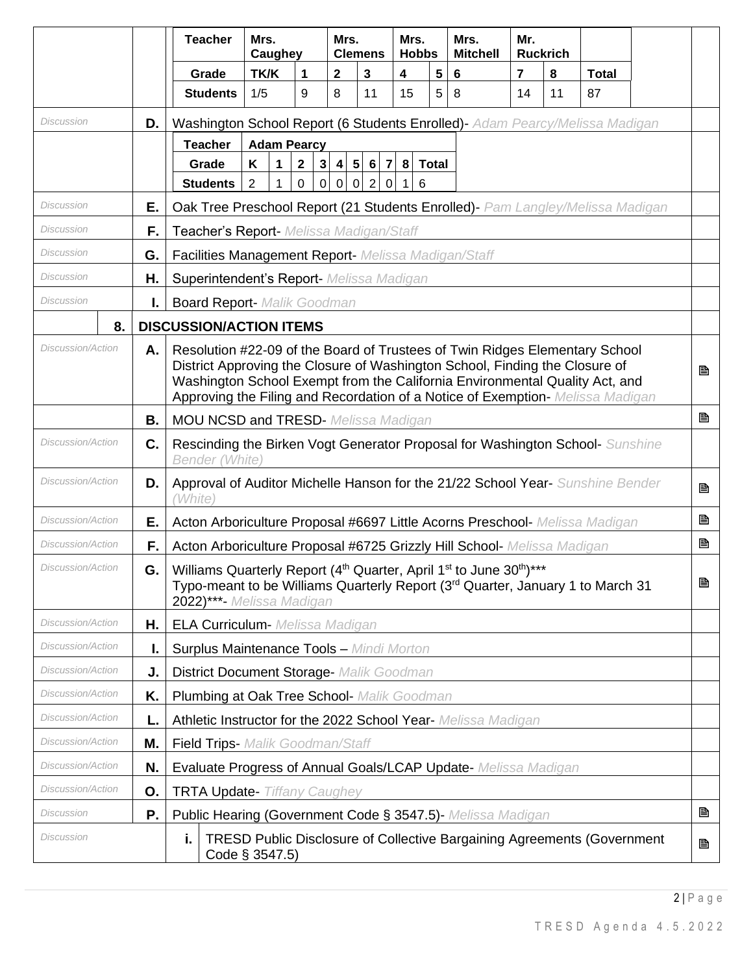|                          |                                                                                                                                                                                                                              | <b>Teacher</b>                                                                                                                                                                                                                                                                                                              | Mrs.<br>Caughey                                                                  |                                           | Mrs.         | <b>Clemens</b> | Mrs.<br><b>Hobbs</b> |              | Mrs.<br><b>Mitchell</b> | Mr.            | <b>Ruckrich</b> |              |  |   |
|--------------------------|------------------------------------------------------------------------------------------------------------------------------------------------------------------------------------------------------------------------------|-----------------------------------------------------------------------------------------------------------------------------------------------------------------------------------------------------------------------------------------------------------------------------------------------------------------------------|----------------------------------------------------------------------------------|-------------------------------------------|--------------|----------------|----------------------|--------------|-------------------------|----------------|-----------------|--------------|--|---|
|                          |                                                                                                                                                                                                                              | Grade                                                                                                                                                                                                                                                                                                                       | TK/K                                                                             | 1                                         | $\mathbf{2}$ | 3              | 4                    | 5            | 6                       | $\overline{7}$ | 8               | <b>Total</b> |  |   |
|                          |                                                                                                                                                                                                                              | <b>Students</b>                                                                                                                                                                                                                                                                                                             | 1/5                                                                              | 9                                         | 8            | 11             | 15                   | 5            | 8                       | 14             | 11              | 87           |  |   |
| Discussion               | D.                                                                                                                                                                                                                           | Washington School Report (6 Students Enrolled)- Adam Pearcy/Melissa Madigan                                                                                                                                                                                                                                                 |                                                                                  |                                           |              |                |                      |              |                         |                |                 |              |  |   |
|                          |                                                                                                                                                                                                                              | <b>Teacher</b>                                                                                                                                                                                                                                                                                                              | <b>Adam Pearcy</b>                                                               |                                           |              |                |                      |              |                         |                |                 |              |  |   |
|                          |                                                                                                                                                                                                                              | Grade                                                                                                                                                                                                                                                                                                                       | K<br>1                                                                           | $\overline{\mathbf{2}}$<br>3 <sup>1</sup> |              | 4   5   6   7  | 8                    | <b>Total</b> |                         |                |                 |              |  |   |
|                          |                                                                                                                                                                                                                              | <b>Students</b>                                                                                                                                                                                                                                                                                                             | $\overline{2}$<br>$\mathbf{1}$                                                   | $\mathsf 0$<br>$\mathbf 0$                | $0 \mid 0$   | 2 0            | 6<br>$\mathbf{1}$    |              |                         |                |                 |              |  |   |
| Discussion               | Е.                                                                                                                                                                                                                           | Oak Tree Preschool Report (21 Students Enrolled) - Pam Langley/Melissa Madigan                                                                                                                                                                                                                                              |                                                                                  |                                           |              |                |                      |              |                         |                |                 |              |  |   |
| Discussion<br>F.         |                                                                                                                                                                                                                              | Teacher's Report- Melissa Madigan/Staff                                                                                                                                                                                                                                                                                     |                                                                                  |                                           |              |                |                      |              |                         |                |                 |              |  |   |
| Discussion               | G.                                                                                                                                                                                                                           |                                                                                                                                                                                                                                                                                                                             | Facilities Management Report- Melissa Madigan/Staff                              |                                           |              |                |                      |              |                         |                |                 |              |  |   |
| Discussion               | Η.                                                                                                                                                                                                                           | Superintendent's Report- Melissa Madigan                                                                                                                                                                                                                                                                                    |                                                                                  |                                           |              |                |                      |              |                         |                |                 |              |  |   |
| Discussion               | I.                                                                                                                                                                                                                           | <b>Board Report- Malik Goodman</b>                                                                                                                                                                                                                                                                                          |                                                                                  |                                           |              |                |                      |              |                         |                |                 |              |  |   |
| 8.                       |                                                                                                                                                                                                                              | <b>DISCUSSION/ACTION ITEMS</b>                                                                                                                                                                                                                                                                                              |                                                                                  |                                           |              |                |                      |              |                         |                |                 |              |  |   |
| Discussion/Action        | Α.                                                                                                                                                                                                                           | Resolution #22-09 of the Board of Trustees of Twin Ridges Elementary School<br>District Approving the Closure of Washington School, Finding the Closure of<br>Washington School Exempt from the California Environmental Quality Act, and<br>Approving the Filing and Recordation of a Notice of Exemption- Melissa Madigan |                                                                                  |                                           |              |                |                      |              |                         |                |                 |              |  | P |
|                          | В.                                                                                                                                                                                                                           |                                                                                                                                                                                                                                                                                                                             |                                                                                  |                                           |              |                |                      |              |                         |                |                 |              |  | B |
| <b>Discussion/Action</b> | C.                                                                                                                                                                                                                           | <b>MOU NCSD and TRESD-</b> Melissa Madigan<br>Rescinding the Birken Vogt Generator Proposal for Washington School- Sunshine<br>Bender (White)                                                                                                                                                                               |                                                                                  |                                           |              |                |                      |              |                         |                |                 |              |  |   |
| Discussion/Action        | D.                                                                                                                                                                                                                           | Approval of Auditor Michelle Hanson for the 21/22 School Year- Sunshine Bender<br>昏<br>(White)                                                                                                                                                                                                                              |                                                                                  |                                           |              |                |                      |              |                         |                |                 |              |  |   |
| Discussion/Action        | Е.                                                                                                                                                                                                                           |                                                                                                                                                                                                                                                                                                                             | B<br>Acton Arboriculture Proposal #6697 Little Acorns Preschool- Melissa Madigan |                                           |              |                |                      |              |                         |                |                 |              |  |   |
| Discussion/Action        | F.                                                                                                                                                                                                                           |                                                                                                                                                                                                                                                                                                                             | B<br>Acton Arboriculture Proposal #6725 Grizzly Hill School- Melissa Madigan     |                                           |              |                |                      |              |                         |                |                 |              |  |   |
| Discussion/Action        | Williams Quarterly Report (4 <sup>th</sup> Quarter, April 1 <sup>st</sup> to June 30 <sup>th</sup> )***<br>G.<br>Typo-meant to be Williams Quarterly Report (3rd Quarter, January 1 to March 31<br>2022)***- Melissa Madigan |                                                                                                                                                                                                                                                                                                                             |                                                                                  |                                           |              |                | B                    |              |                         |                |                 |              |  |   |
| <i>Discussion/Action</i> | Η.                                                                                                                                                                                                                           | <b>ELA Curriculum-</b> Melissa Madigan                                                                                                                                                                                                                                                                                      |                                                                                  |                                           |              |                |                      |              |                         |                |                 |              |  |   |
| <i>Discussion/Action</i> | <b>Surplus Maintenance Tools - Mindi Morton</b><br>ı.                                                                                                                                                                        |                                                                                                                                                                                                                                                                                                                             |                                                                                  |                                           |              |                |                      |              |                         |                |                 |              |  |   |
| Discussion/Action<br>J.  |                                                                                                                                                                                                                              |                                                                                                                                                                                                                                                                                                                             | District Document Storage- Malik Goodman                                         |                                           |              |                |                      |              |                         |                |                 |              |  |   |
| Discussion/Action        | Plumbing at Oak Tree School- Malik Goodman<br>K.                                                                                                                                                                             |                                                                                                                                                                                                                                                                                                                             |                                                                                  |                                           |              |                |                      |              |                         |                |                 |              |  |   |
| <b>Discussion/Action</b> | L.                                                                                                                                                                                                                           | Athletic Instructor for the 2022 School Year- Melissa Madigan                                                                                                                                                                                                                                                               |                                                                                  |                                           |              |                |                      |              |                         |                |                 |              |  |   |
| Discussion/Action        | Μ.                                                                                                                                                                                                                           | Field Trips- Malik Goodman/Staff                                                                                                                                                                                                                                                                                            |                                                                                  |                                           |              |                |                      |              |                         |                |                 |              |  |   |
| <b>Discussion/Action</b> | Evaluate Progress of Annual Goals/LCAP Update- Melissa Madigan<br>N.                                                                                                                                                         |                                                                                                                                                                                                                                                                                                                             |                                                                                  |                                           |              |                |                      |              |                         |                |                 |              |  |   |
| <b>Discussion/Action</b> | Ο.                                                                                                                                                                                                                           | <b>TRTA Update- Tiffany Caughey</b>                                                                                                                                                                                                                                                                                         |                                                                                  |                                           |              |                |                      |              |                         |                |                 |              |  |   |
| Discussion               | Ρ.                                                                                                                                                                                                                           | B<br>Public Hearing (Government Code § 3547.5) Melissa Madigan                                                                                                                                                                                                                                                              |                                                                                  |                                           |              |                |                      |              |                         |                |                 |              |  |   |
| Discussion               | <b>TRESD Public Disclosure of Collective Bargaining Agreements (Government</b><br>i.<br>Code § 3547.5)                                                                                                                       |                                                                                                                                                                                                                                                                                                                             |                                                                                  |                                           |              |                |                      | B            |                         |                |                 |              |  |   |